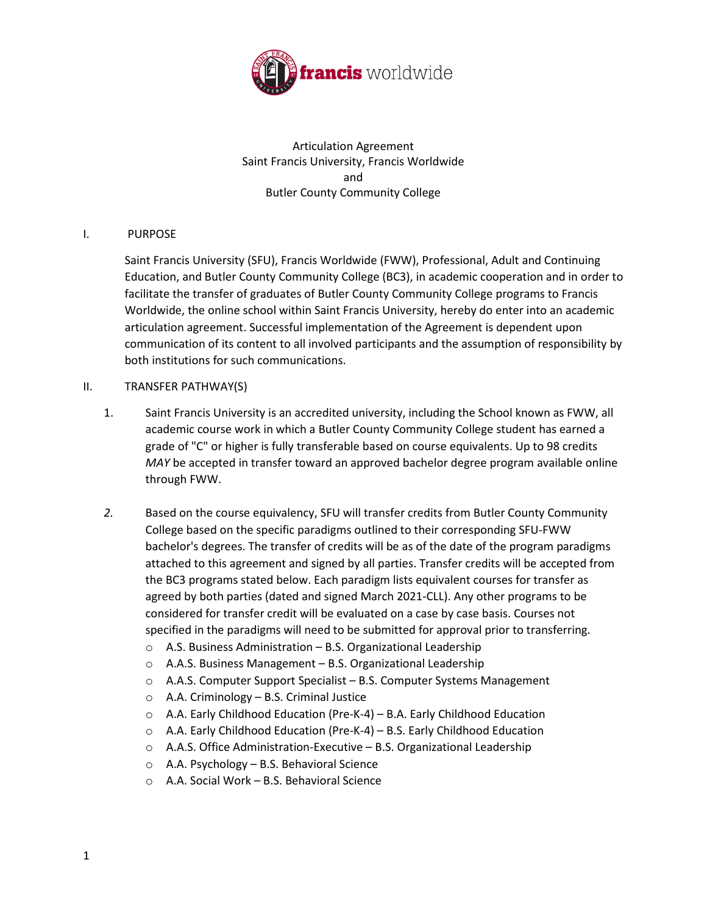

Articulation Agreement Saint Francis University, Francis Worldwide and Butler County Community College

## I. PURPOSE

Saint Francis University (SFU), Francis Worldwide (FWW), Professional, Adult and Continuing Education, and Butler County Community College (BC3), in academic cooperation and in order to facilitate the transfer of graduates of Butler County Community College programs to Francis Worldwide, the online school within Saint Francis University, hereby do enter into an academic articulation agreement. Successful implementation of the Agreement is dependent upon communication of its content to all involved participants and the assumption of responsibility by both institutions for such communications.

### II. TRANSFER PATHWAY(S)

- 1. Saint Francis University is an accredited university, including the School known as FWW, all academic course work in which a Butler County Community College student has earned a grade of "C" or higher is fully transferable based on course equivalents. Up to 98 credits *MAY* be accepted in transfer toward an approved bachelor degree program available online through FWW.
- *2.* Based on the course equivalency, SFU will transfer credits from Butler County Community College based on the specific paradigms outlined to their corresponding SFU-FWW bachelor's degrees. The transfer of credits will be as of the date of the program paradigms attached to this agreement and signed by all parties. Transfer credits will be accepted from the BC3 programs stated below. Each paradigm lists equivalent courses for transfer as agreed by both parties (dated and signed March 2021-CLL). Any other programs to be considered for transfer credit will be evaluated on a case by case basis. Courses not specified in the paradigms will need to be submitted for approval prior to transferring.
	- o A.S. Business Administration B.S. Organizational Leadership
	- o A.A.S. Business Management B.S. Organizational Leadership
	- o A.A.S. Computer Support Specialist B.S. Computer Systems Management
	- o A.A. Criminology B.S. Criminal Justice
	- o A.A. Early Childhood Education (Pre-K-4) B.A. Early Childhood Education
	- o A.A. Early Childhood Education (Pre-K-4) B.S. Early Childhood Education
	- o A.A.S. Office Administration-Executive B.S. Organizational Leadership
	- o A.A. Psychology B.S. Behavioral Science
	- o A.A. Social Work B.S. Behavioral Science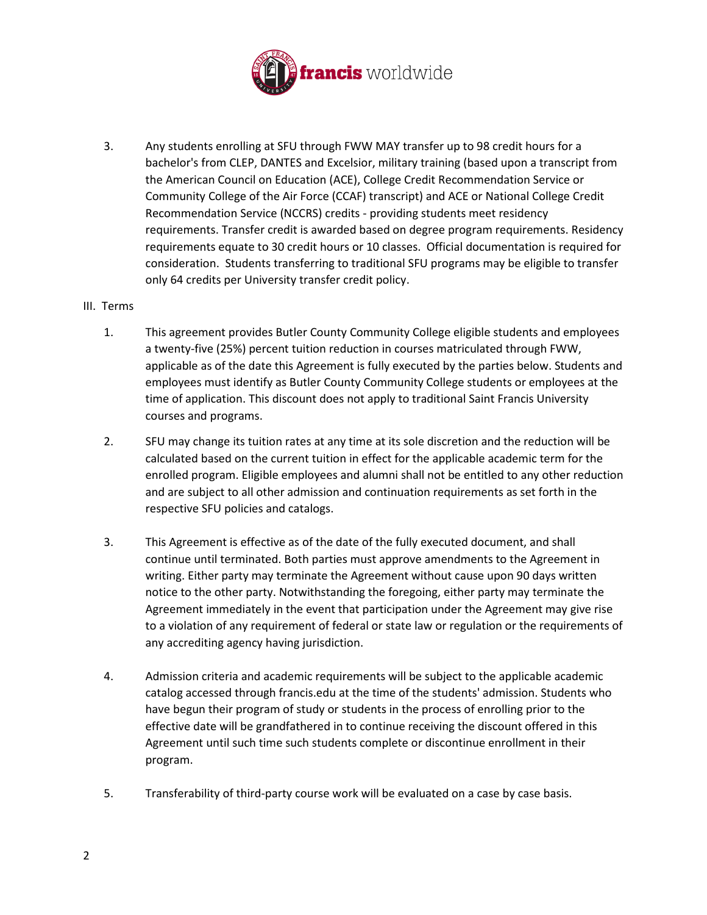

3. Any students enrolling at SFU through FWW MAY transfer up to 98 credit hours for a bachelor's from CLEP, DANTES and Excelsior, military training (based upon a transcript from the American Council on Education (ACE), College Credit Recommendation Service or Community College of the Air Force (CCAF) transcript) and ACE or National College Credit Recommendation Service (NCCRS) credits - providing students meet residency requirements. Transfer credit is awarded based on degree program requirements. Residency requirements equate to 30 credit hours or 10 classes. Official documentation is required for consideration. Students transferring to traditional SFU programs may be eligible to transfer only 64 credits per University transfer credit policy.

#### III. Terms

- 1. This agreement provides Butler County Community College eligible students and employees a twenty-five (25%) percent tuition reduction in courses matriculated through FWW, applicable as of the date this Agreement is fully executed by the parties below. Students and employees must identify as Butler County Community College students or employees at the time of application. This discount does not apply to traditional Saint Francis University courses and programs.
- 2. SFU may change its tuition rates at any time at its sole discretion and the reduction will be calculated based on the current tuition in effect for the applicable academic term for the enrolled program. Eligible employees and alumni shall not be entitled to any other reduction and are subject to all other admission and continuation requirements as set forth in the respective SFU policies and catalogs.
- 3. This Agreement is effective as of the date of the fully executed document, and shall continue until terminated. Both parties must approve amendments to the Agreement in writing. Either party may terminate the Agreement without cause upon 90 days written notice to the other party. Notwithstanding the foregoing, either party may terminate the Agreement immediately in the event that participation under the Agreement may give rise to a violation of any requirement of federal or state law or regulation or the requirements of any accrediting agency having jurisdiction.
- 4. Admission criteria and academic requirements will be subject to the applicable academic catalog accessed through francis.edu at the time of the students' admission. Students who have begun their program of study or students in the process of enrolling prior to the effective date will be grandfathered in to continue receiving the discount offered in this Agreement until such time such students complete or discontinue enrollment in their program.
- 5. Transferability of third-party course work will be evaluated on a case by case basis.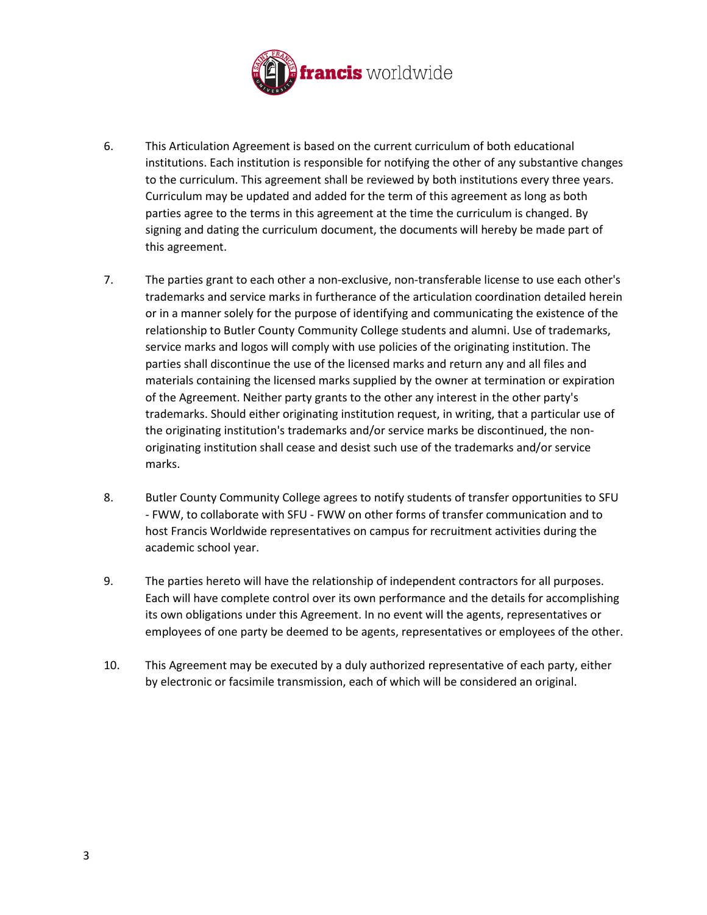

- 6. This Articulation Agreement is based on the current curriculum of both educational institutions. Each institution is responsible for notifying the other of any substantive changes to the curriculum. This agreement shall be reviewed by both institutions every three years. Curriculum may be updated and added for the term of this agreement as long as both parties agree to the terms in this agreement at the time the curriculum is changed. By signing and dating the curriculum document, the documents will hereby be made part of this agreement.
- 7. The parties grant to each other a non-exclusive, non-transferable license to use each other's trademarks and service marks in furtherance of the articulation coordination detailed herein or in a manner solely for the purpose of identifying and communicating the existence of the relationship to Butler County Community College students and alumni. Use of trademarks, service marks and logos will comply with use policies of the originating institution. The parties shall discontinue the use of the licensed marks and return any and all files and materials containing the licensed marks supplied by the owner at termination or expiration of the Agreement. Neither party grants to the other any interest in the other party's trademarks. Should either originating institution request, in writing, that a particular use of the originating institution's trademarks and/or service marks be discontinued, the nonoriginating institution shall cease and desist such use of the trademarks and/or service marks.
- 8. Butler County Community College agrees to notify students of transfer opportunities to SFU - FWW, to collaborate with SFU - FWW on other forms of transfer communication and to host Francis Worldwide representatives on campus for recruitment activities during the academic school year.
- 9. The parties hereto will have the relationship of independent contractors for all purposes. Each will have complete control over its own performance and the details for accomplishing its own obligations under this Agreement. In no event will the agents, representatives or employees of one party be deemed to be agents, representatives or employees of the other.
- 10. This Agreement may be executed by a duly authorized representative of each party, either by electronic or facsimile transmission, each of which will be considered an original.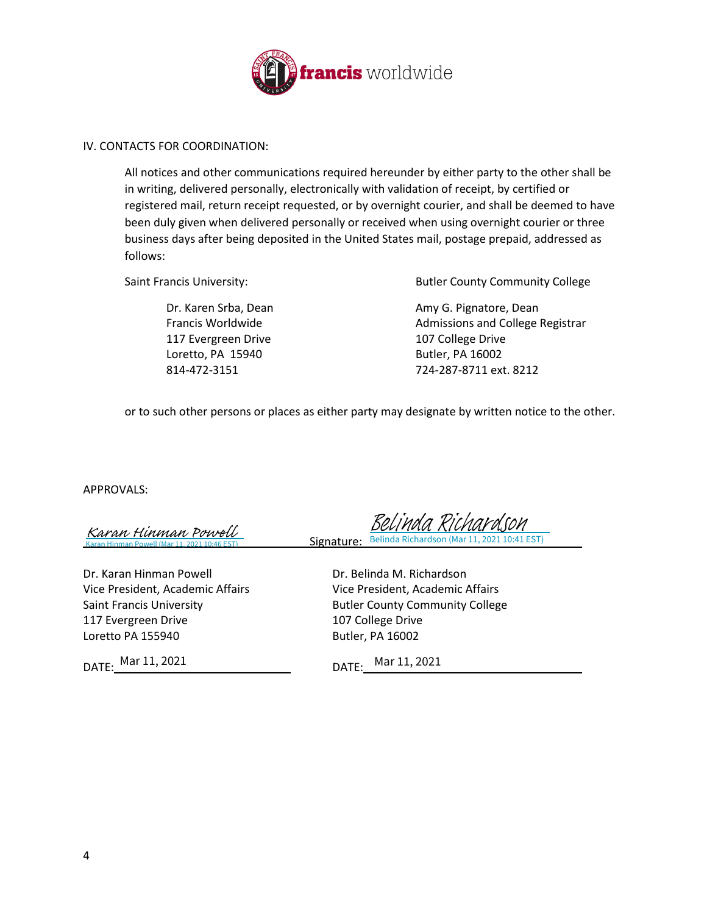

#### IV. CONTACTS FOR COORDINATION:

All notices and other communications required hereunder by either party to the other shall be in writing, delivered personally, electronically with validation of receipt, by certified or registered mail, return receipt requested, or by overnight courier, and shall be deemed to have been duly given when delivered personally or received when using overnight courier or three business days after being deposited in the United States mail, postage prepaid, addressed as follows:

117 Evergreen Drive 107 College Drive Loretto, PA 15940 **Butler**, PA 16002

Saint Francis University: The Saint Francis University: The Summan Butler County Community College

Dr. Karen Srba, Dean Amy G. Pignatore, Dean Francis Worldwide **Admissions and College Registrar** 814-472-3151 724-287-8711 ext. 8212

or to such other persons or places as either party may designate by written notice to the other.

APPROVALS:

Karan Hinman Powell (Mar 11, 2021 10:46 EST) [Karan Hinman Powell](https://na2.documents.adobe.com/verifier?tx=CBJCHBCAABAAEQhbPrptR_vcl4yEp1T9tG1jeSzIOKS4)

Dr. Karan Hinman Powell Dr. Belinda M. Richardson Vice President, Academic Affairs Vice President, Academic Affairs 117 Evergreen Drive 107 College Drive Loretto PA 155940 Butler, PA 16002

DATE: DATE: Mar 11, 2021

Signature: Belinda Richardson (Mar 11, 2021 10:41 EST) [Belinda Richardson](https://na2.documents.adobe.com/verifier?tx=CBJCHBCAABAAEQhbPrptR_vcl4yEp1T9tG1jeSzIOKS4)

Saint Francis University **Butler County Community College** 

DATE: Mar 11, 2021